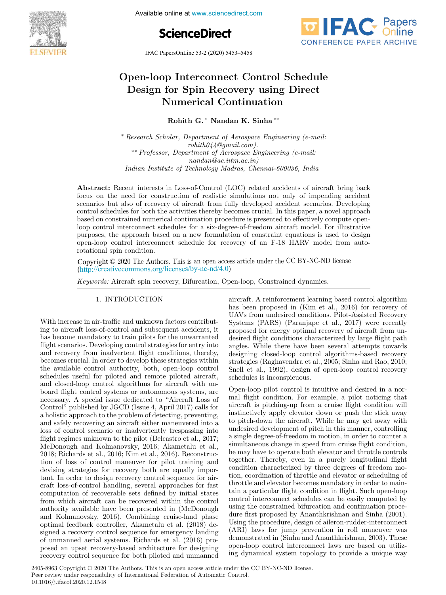

Available online at www.sciencedirect.com





IFAC PapersOnLine 53-2 (2020) 5453–5458

# Open-loop Interconnect Control Schedule Design for Spin Recovery using Direct Numerical Continuation

Rohith G. <sup>∗</sup> Nandan K. Sinha ∗∗

<sup>∗</sup> Research Scholar, Department of Aerospace Engineering (e-mail:  $\mathit{rohith044}$ @gmail.com). ∗∗ Professor, Department of Aerospace Engineering (e-mail: nandan@ae.iitm.ac.in) Indian Institute of Technology Madras, Chennai-600036, India

Abstract: Recent interests in Loss-of-Control (LOC) related accidents of aircraft bring back focus on the need for construction of realistic simulations not only of impending accident scenarios but also of recovery of aircraft from fully developed accident scenarios. Developing control schedules for both the activities thereby becomes crucial. In this paper, a novel approach based on constrained numerical continuation procedure is presented to effectively compute openloop control interconnect schedules for a six-degree-of-freedom aircraft model. For illustrative purposes, the approach based on a new formulation of constraint equations is used to design open-loop control interconnect schedule for recovery of an F-18 HARV model from autorotational spin condition.

Copyright © 2020 The Authors. This is an open access article under the CC BY-NC-ND license (http://creativecommons.org/licenses/by-nc-nd/4.0)

Keywords: Aircraft spin recovery, Bifurcation, Open-loop, Constrained dynamics.

1. INTRODUCTION

With increase in air-traffic and unknown factors contributing to aircraft loss-of-control and subsequent accidents, it has become mandatory to train pilots for the unwarranted flight scenarios. Developing control strategies for entry into and recovery from inadvertent flight conditions, thereby, becomes crucial. In order to develop these strategies within the available control authority, both, open-loop control schedules useful for piloted and remote piloted aircraft, and closed-loop control algorithms for aircraft with onboard flight control systems or autonomous systems, are necessary. A special issue dedicated to "Aircraft Loss of Control" published by JGCD (Issue 4, April 2017) calls for a holistic approach to the problem of detecting, preventing, and safely recovering an aircraft either maneuvered into a loss of control scenario or inadvertently trespassing into flight regimes unknown to the pilot (Belcastro et al., 2017; McDonough and Kolmanovsky, 2016; Akametalu et al., 2018; Richards et al., 2016; Kim et al., 2016). Reconstruction of loss of control maneuver for pilot training and devising strategies for recovery both are equally important. In order to design recovery control sequence for aircraft loss-of-control handling, several approaches for fast computation of recoverable sets defined by initial states from which aircraft can be recovered within the control authority available have been presented in (McDonough and Kolmanovsky, 2016). Combining cruise-land phase optimal feedback controller, Akametalu et al. (2018) designed a recovery control sequence for emergency landing of unmanned aerial systems. Richards et al. (2016) proposed an upset recovery-based architecture for designing recovery control sequence for both piloted and unmanned

aircraft. A reinforcement learning based control algorithm has been proposed in (Kim et al., 2016) for recovery of UAVs from undesired conditions. Pilot-Assisted Recovery Systems (PARS) (Paranjape et al., 2017) were recently proposed for energy optimal recovery of aircraft from undesired flight conditions characterized by large flight path angles. While there have been several attempts towards designing closed-loop control algorithms-based recovery strategies (Raghavendra et al., 2005; Sinha and Rao, 2010; Snell et al., 1992), design of open-loop control recovery schedules is inconspicuous.

Open-loop pilot control is intuitive and desired in a normal flight condition. For example, a pilot noticing that aircraft is pitching-up from a cruise flight condition will instinctively apply elevator down or push the stick away to pitch-down the aircraft. While he may get away with undesired development of pitch in this manner, controlling a single degree-of-freedom in motion, in order to counter a simultaneous change in speed from cruise flight condition, he may have to operate both elevator and throttle controls together. Thereby, even in a purely longitudinal flight condition characterized by three degrees of freedom motion, coordination of throttle and elevator or scheduling of throttle and elevator becomes mandatory in order to maintain a particular flight condition in flight. Such open-loop control interconnect schedules can be easily computed by using the constrained bifurcation and continuation procedure first proposed by Ananthkrishnan and Sinha (2001). Using the procedure, design of aileron-rudder-interconnect (ARI) laws for jump prevention in roll maneuver was demonstrated in (Sinha and Ananthkrishnan, 2003). These open-loop control interconnect laws are based on utilizing dynamical system topology to provide a unique way

2405-8963 Copyright © 2020 The Authors. This is an open access article under the CC BY-NC-ND license. Peer review under responsibility of International Federation of Automatic Control. 10.1016/j.ifacol.2020.12.1548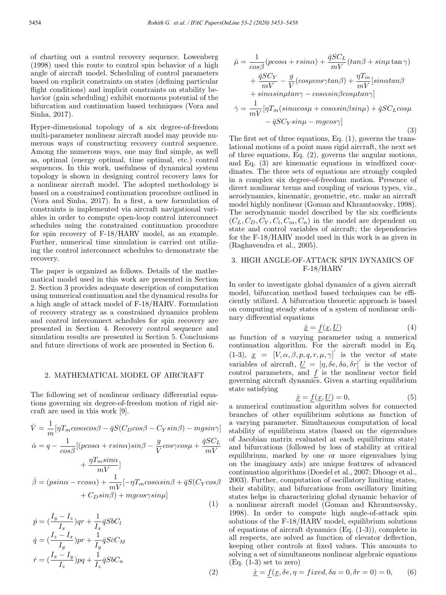of charting out a control recovery sequence. Lowenberg (1998) used this route to control spin behavior of a high angle of aircraft model. Scheduling of control parameters based on explicit constraints on states (defining particular flight conditions) and implicit constraints on stability behavior (gain scheduling) exhibit enormous potential of the bifurcation and continuation based techniques (Vora and Sinha, 2017).

Hyper-dimensional topology of a six degree-of-freedom multi-parameter nonlinear aircraft model may provide numerous ways of constructing recovery control sequence. Among the numerous ways, one may find simple, as well as, optimal (energy optimal, time optimal, etc.) control sequences. In this work, usefulness of dynamical system topology is shown in designing control recovery laws for a nonlinear aircraft model. The adopted methodology is based on a constrained continuation procedure outlined in (Vora and Sinha, 2017). In a first, a new formulation of constraints is implemented via aircraft navigational variables in order to compute open-loop control interconnect schedules using the constrained continuation procedure for spin recovery of F-18/HARV model, as an example. Further, numerical time simulation is carried out utilizing the control interconnect schedules to demonstrate the recovery.

The paper is organized as follows. Details of the mathematical model used in this work are presented in Section 2. Section 3 provides adequate description of computation using numerical continuation and the dynamical results for a high angle of attack model of F-18/HARV. Formulation of recovery strategy as a constrained dynamics problem and control interconnect schedules for spin recovery are presented in Section 4. Recovery control sequence and simulation results are presented in Section 5. Conclusions and future directions of work are presented in Section 6.

#### 2. MATHEMATICAL MODEL OF AIRCRAFT

The following set of nonlinear ordinary differential equations governing six degree-of-freedom motion of rigid aircraft are used in this work [9].

$$
\dot{V} = \frac{1}{m} [\eta T_m cos\alpha cos\beta - \bar{q}S(C_D cos\beta - C_Y sin\beta) - mgsin\gamma]
$$
  
\n
$$
\dot{\alpha} = q - \frac{1}{cos\beta} [(p cos\alpha + r sin\alpha) sin\beta - \frac{g}{V} cos\gamma cos\mu + \frac{\bar{q}SC_L}{mV} + \frac{\eta T_m sin\alpha}{mV}]
$$
  
\n
$$
\dot{\beta} = (psin\alpha - r cos\alpha) + \frac{1}{mV} [-\eta T_m cos\alpha sin\beta + \bar{q}S(C_Y cos\beta + C_D sin\beta) + mgcos\gamma sin\mu]
$$
\n(1)

$$
\dot{p} = \left(\frac{I_y - I_z}{I_x}\right)qr + \frac{1}{I_x}\bar{q}SbC_l
$$
\n
$$
\dot{q} = \left(\frac{I_z - I_x}{I_y}\right)pr + \frac{1}{I_y}\bar{q}S\bar{c}C_M
$$
\n
$$
\dot{r} = \left(\frac{I_x - I_y}{I_z}\right)pq + \frac{1}{I_z}\bar{q}SbC_n
$$
\n(2)

$$
\dot{\mu} = \frac{1}{\cos\beta} (p\cos\alpha + r\sin\alpha) + \frac{\bar{q}SC_L}{mV} (\tan\beta + \sin\mu \tan\gamma) \n+ \frac{\bar{q}SC_Y}{mV} - \frac{g}{V} (\cos\mu\cos\gamma\tan\beta) + \frac{\eta T_m}{mV} [\sin\alpha\tan\beta \n+ \sin\alpha\sin\mu\tan\gamma - \cos\alpha\sin\beta\cos\mu\tan\gamma] \n\dot{\gamma} = \frac{1}{mV} [\eta T_m (\sin\alpha\cos\mu + \cos\alpha\sin\beta\sin\mu) + \bar{q}SC_L \cos\mu \n- \bar{q}SC_Y \sin\mu - mg \cos\gamma]
$$
\n(3)

The first set of three equations, Eq. (1), governs the translational motions of a point mass rigid aircraft, the next set of three equations, Eq. (2), governs the angular motions, and Eq. (3) are kinematic equations in windfixed coordinates. The three sets of equations are strongly coupled in a complex six degree-of-freedom motion. Presence of direct nonlinear terms and coupling of various types, viz., aerodynamics, kinematic, geometric, etc. make an aircraft model highly nonlinear (Goman and Khramtsovsky, 1998). The aerodynamic model described by the six coefficients  $(C_L, C_D, C_Y, C_l, C_m, C_n)$  in the model are dependent on state and control variables of aircraft; the dependencies for the F-18/HARV model used in this work is as given in (Raghavendra et al., 2005).

## 3. HIGH ANGLE-OF-ATTACK SPIN DYNAMICS OF F-18/HARV

In order to investigate global dynamics of a given aircraft model, bifurcation method based techniques can be efficiently utilized. A bifurcation theoretic approach is based on computing steady states of a system of nonlinear ordinary differential equations

$$
\dot{\underline{x}} = \underline{f}(\underline{x}, \underline{U}) \tag{4}
$$

as function of a varying parameter using a numerical continuation algorithm. For the aircraft model in Eq. (1-3),  $\underline{x} = [V, \alpha, \beta, p, q, r, \mu, \gamma]'$  is the vector of state variables of aircraft,  $\underline{U} = [\eta, \delta e, \delta a, \delta r]'$  is the vector of control parameters, and  $f$  is the nonlinear vector field governing aircraft dynamics. Given a starting equilibrium state satisfying

$$
\underline{\dot{x}} = \underline{f}(\underline{x}, \underline{U}) = 0,\tag{5}
$$

a numerical continuation algorithm solves for connected branches of other equilibrium solutions as function of a varying parameter. Simultaneous computation of local stability of equilibrium states (based on the eigenvalues of Jacobian matrix evaluated at each equilibrium state) and bifurcations (followed by loss of stability at critical equilibrium, marked by one or more eigenvalues lying on the imaginary axis) are unique features of advanced continuation algorithms (Doedel et al., 2007; Dhooge et al., 2003). Further, computation of oscillatory limiting states, their stability, and bifurcations from oscillatory limiting states helps in characterizing global dynamic behavior of a nonlinear aircraft model (Goman and Khramtsovsky, 1998). In order to compute high angle-of-attack spin solutions of the F-18/HARV model, equilibrium solutions of equations of aircraft dynamics (Eq. (1-3)), complete in all respects, are solved as function of elevator deflection, keeping other controls at fixed values. This amounts to solving a set of simultaneous nonlinear algebraic equations  $(Eq. (1-3)$  set to zero)

$$
\dot{\underline{x}} = f(\underline{x}, \delta e, \eta = fixed, \delta a = 0, \delta r = 0) = 0,\tag{6}
$$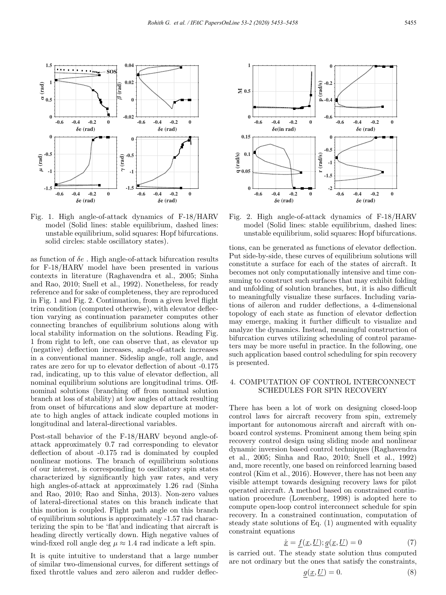

Fig. 1. High angle-of-attack dynamics of F-18/HARV model (Solid lines: stable equilibrium, dashed lines: unstable equilibrium, solid squares: Hopf bifurcations. solid circles: stable oscillatory states).

as function of  $\delta e$ . High angle-of-attack bifurcation results for F-18/HARV model have been presented in various contexts in literature (Raghavendra et al., 2005; Sinha and Rao, 2010; Snell et al., 1992). Nonetheless, for ready reference and for sake of completeness, they are reproduced in Fig. 1 and Fig. 2. Continuation, from a given level flight trim condition (computed otherwise), with elevator deflection varying as continuation parameter computes other connecting branches of equilibrium solutions along with local stability information on the solutions. Reading Fig. 1 from right to left, one can observe that, as elevator up (negative) deflection increases, angle-of-attack increases in a conventional manner. Sideslip angle, roll angle, and rates are zero for up to elevator deflection of about -0.175 rad, indicating, up to this value of elevator deflection, all nominal equilibrium solutions are longitudinal trims. Offnominal solutions (branching off from nominal solution branch at loss of stability) at low angles of attack resulting from onset of bifurcations and slow departure at moderate to high angles of attack indicate coupled motions in longitudinal and lateral-directional variables.

Post-stall behavior of the F-18/HARV beyond angle-ofattack approximately 0.7 rad corresponding to elevator deflection of about -0.175 rad is dominated by coupled nonlinear motions. The branch of equilibrium solutions of our interest, is corresponding to oscillatory spin states characterized by significantly high yaw rates, and very high angles-of-attack at approximately 1.26 rad (Sinha and Rao, 2010; Rao and Sinha, 2013). Non-zero values of lateral-directional states on this branch indicate that this motion is coupled. Flight path angle on this branch of equilibrium solutions is approximately -1.57 rad characterizing the spin to be 'flat'and indicating that aircraft is heading directly vertically down. High negative values of wind-fixed roll angle deg  $\mu \approx 1.4$  rad indicate a left spin.

It is quite intuitive to understand that a large number of similar two-dimensional curves, for different settings of fixed throttle values and zero aileron and rudder deflec-



Fig. 2. High angle-of-attack dynamics of F-18/HARV model (Solid lines: stable equilibrium, dashed lines: unstable equilibrium, solid squares: Hopf bifurcations.

tions, can be generated as functions of elevator deflection. Put side-by-side, these curves of equilibrium solutions will constitute a surface for each of the states of aircraft. It becomes not only computationally intensive and time consuming to construct such surfaces that may exhibit folding and unfolding of solution branches, but, it is also difficult to meaningfully visualize these surfaces. Including variations of aileron and rudder deflections, a 4-dimensional topology of each state as function of elevator deflection may emerge, making it further difficult to visualize and analyze the dynamics. Instead, meaningful construction of bifurcation curves utilizing scheduling of control parameters may be more useful in practice. In the following, one such application based control scheduling for spin recovery is presented.

### 4. COMPUTATION OF CONTROL INTERCONNECT SCHEDULES FOR SPIN RECOVERY

There has been a lot of work on designing closed-loop control laws for aircraft recovery from spin, extremely important for autonomous aircraft and aircraft with onboard control systems. Prominent among them being spin recovery control design using sliding mode and nonlinear dynamic inversion based control techniques (Raghavendra et al., 2005; Sinha and Rao, 2010; Snell et al., 1992) and, more recently, one based on reinforced learning based control (Kim et al., 2016). However, there has not been any visible attempt towards designing recovery laws for pilot operated aircraft. A method based on constrained continuation procedure (Lowenberg, 1998) is adopted here to compute open-loop control interconnect schedule for spin recovery. In a constrained continuation, computation of steady state solutions of Eq. (1) augmented with equality constraint equations

$$
\underline{\dot{x}} = f(\underline{x}, \underline{U}); g(\underline{x}, \underline{U}) = 0 \tag{7}
$$

is carried out. The steady state solution thus computed are not ordinary but the ones that satisfy the constraints,

$$
g(\underline{x}, \underline{U}) = 0. \tag{8}
$$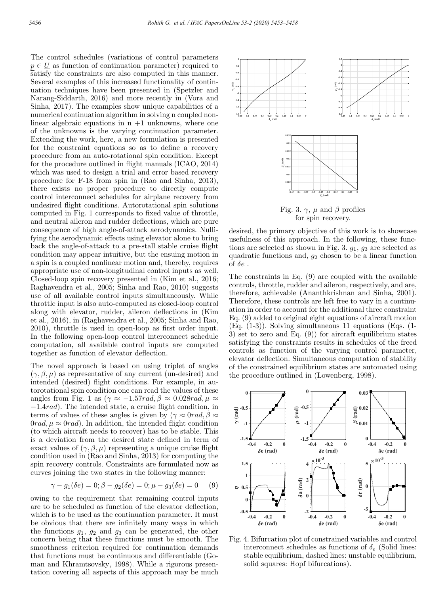The control schedules (variations of control parameters  $p \in U$  as function of continuation parameter) required to satisfy the constraints are also computed in this manner. Several examples of this increased functionality of continuation techniques have been presented in (Spetzler and Narang-Siddarth, 2016) and more recently in (Vora and Sinha, 2017). The examples show unique capabilities of a numerical continuation algorithm in solving n coupled nonlinear algebraic equations in  $n + 1$  unknowns, where one of the unknowns is the varying continuation parameter. Extending the work, here, a new formulation is presented for the constraint equations so as to define a recovery procedure from an auto-rotational spin condition. Except for the procedure outlined in flight manuals (ICAO, 2014) which was used to design a trial and error based recovery procedure for F-18 from spin in (Rao and Sinha, 2013), there exists no proper procedure to directly compute control interconnect schedules for airplane recovery from undesired flight conditions. Autorotational spin solutions computed in Fig. 1 corresponds to fixed value of throttle, and neutral aileron and rudder deflections, which are pure consequence of high angle-of-attack aerodynamics. Nullifying the aerodynamic effects using elevator alone to bring back the angle-of-attack to a pre-stall stable cruise flight condition may appear intuitive, but the ensuing motion in a spin is a coupled nonlinear motion and, thereby, requires appropriate use of non-longitudinal control inputs as well. Closed-loop spin recovery presented in (Kim et al., 2016; Raghavendra et al., 2005; Sinha and Rao, 2010) suggests use of all available control inputs simultaneously. While throttle input is also auto-computed as closed-loop control along with elevator, rudder, aileron deflections in (Kim et al., 2016), in (Raghavendra et al., 2005; Sinha and Rao, 2010), throttle is used in open-loop as first order input. In the following open-loop control interconnect schedule computation, all available control inputs are computed together as function of elevator deflection.

The novel approach is based on using triplet of angles  $(\gamma, \beta, \mu)$  as representative of any current (un-desired) and intended (desired) flight conditions. For example, in autorotational spin condition one can read the values of these angles from Fig. 1 as  $(\gamma \approx -1.57 \text{rad}, \beta \approx 0.028 \text{rad}, \mu \approx$ −1.4rad). The intended state, a cruise flight condition, in terms of values of these angles is given by  $(\gamma \approx 0 rad, \beta \approx$  $0rad, \mu \approx 0rad$ ). In addition, the intended flight condition (to which aircraft needs to recover) has to be stable. This is a deviation from the desired state defined in term of exact values of  $(\gamma, \beta, \mu)$  representing a unique cruise flight condition used in (Rao and Sinha, 2013) for computing the spin recovery controls. Constraints are formulated now as curves joining the two states in the following manner:

$$
\gamma - g_1(\delta e) = 0; \beta - g_2(\delta e) = 0; \mu - g_3(\delta e) = 0 \tag{9}
$$

owing to the requirement that remaining control inputs are to be scheduled as function of the elevator deflection, which is to be used as the continuation parameter. It must be obvious that there are infinitely many ways in which the functions  $g_1, g_2$  and  $g_3$  can be generated, the other concern being that these functions must be smooth. The smoothness criterion required for continuation demands that functions must be continuous and differentiable (Goman and Khramtsovsky, 1998). While a rigorous presentation covering all aspects of this approach may be much



for spin recovery.

desired, the primary objective of this work is to showcase usefulness of this approach. In the following, these functions are selected as shown in Fig. 3.  $g_1$ ,  $g_3$  are selected as quadratic functions and,  $g_2$  chosen to be a linear function of  $\delta e$ .

The constraints in Eq. (9) are coupled with the available controls, throttle, rudder and aileron, respectively, and are, therefore, achievable (Ananthkrishnan and Sinha, 2001). Therefore, these controls are left free to vary in a continuation in order to account for the additional three constraint Eq. (9) added to original eight equations of aircraft motion (Eq. (1-3)). Solving simultaneous 11 equations (Eqs. (1- 3) set to zero and Eq. (9)) for aircraft equilibrium states satisfying the constraints results in schedules of the freed controls as function of the varying control parameter, elevator deflection. Simultaneous computation of stability of the constrained equilibrium states are automated using the procedure outlined in (Lowenberg, 1998).



Fig. 4. Bifurcation plot of constrained variables and control interconnect schedules as functions of  $\delta_e$  (Solid lines: stable equilibrium, dashed lines: unstable equilibrium, solid squares: Hopf bifurcations).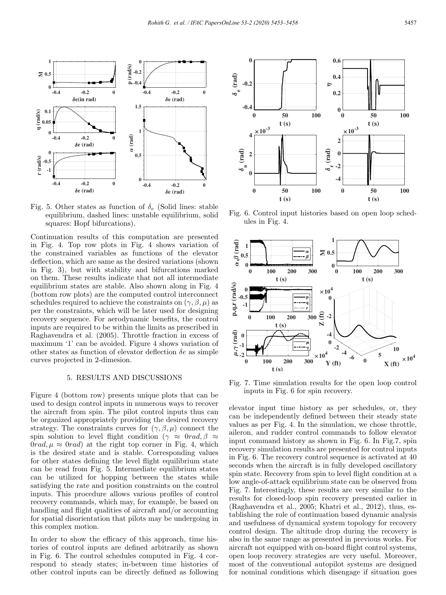

Fig. 5. Other states as function of  $\delta_e$  (Solid lines: stable equilibrium, dashed lines: unstable equilibrium, solid squares: Hopf bifurcations).

Continuation results of this computation are presented in Fig. 4. Top row plots in Fig. 4 shows variation of the constrained variables as functions of the elevator deflection, which are same as the desired variations (shown in Fig. 3), but with stability and bifurcations marked on them. These results indicate that not all intermediate equilibrium states are stable. Also shown along in Fig. 4 (bottom row plots) are the computed control interconnect schedules required to achieve the constraints on  $(\gamma, \beta, \mu)$  as per the constraints, which will be later used for designing recovery sequence. For aerodynamic benefits, the control inputs are required to be within the limits as prescribed in Raghavendra et al. (2005). Throttle fraction in excess of maximum '1' can be avoided. Figure 4 shows variation of other states as function of elevator deflection  $\delta e$  as simple curves projected in 2-dimesion.

### 5. RESULTS AND DISCUSSIONS

Figure 4 (bottom row) presents unique plots that can be used to design control inputs in numerous ways to recover the aircraft from spin. The pilot control inputs thus can be organized appropriately providing the desired recovery strategy. The constraints curves for  $(\gamma, \beta, \mu)$  connect the spin solution to level flight condition ( $\gamma \approx 0$ rad,  $\beta \approx$  $0rad, \mu \approx 0rad$  at the right top corner in Fig. 4, which is the desired state and is stable. Corresponding values for other states defining the level flight equilibrium state can be read from Fig. 5. Intermediate equilibrium states can be utilized for hopping between the states while satisfying the rate and position constraints on the control inputs. This procedure allows various profiles of control recovery commands, which may, for example, be based on handling and flight qualities of aircraft and/or accounting for spatial disorientation that pilots may be undergoing in this complex motion.

In order to show the efficacy of this approach, time histories of control inputs are defined arbitrarily as shown in Fig. 6. The control schedules computed in Fig. 4 correspond to steady states; in-between time histories of other control inputs can be directly defined as following



Fig. 6. Control input histories based on open loop schedules in Fig. 4.



Fig. 7. Time simulation results for the open loop control inputs in Fig. 6 for spin recovery.

elevator input time history as per schedules, or, they can be independently defined between their steady state values as per Fig. 4. In the simulation, we chose throttle, aileron, and rudder control commands to follow elevator input command history as shown in Fig. 6. In Fig.7, spin recovery simulation results are presented for control inputs in Fig. 6. The recovery control sequence is activated at 40 seconds when the aircraft is in fully developed oscillatory spin state. Recovery from spin to level flight condition at a low angle-of-attack equilibrium state can be observed from Fig. 7. Interestingly, these results are very similar to the results for closed-loop spin recovery presented earlier in (Raghavendra et al., 2005; Khatri et al., 2012), thus, establishing the role of continuation based dynamic analysis and usefulness of dynamical system topology for recovery control design. The altitude drop during the recovery is also in the same range as presented in previous works. For aircraft not equipped with on-board flight control systems, open loop recovery strategies are very useful. Moreover, most of the conventional autopilot systems are designed for nominal conditions which disengage if situation goes